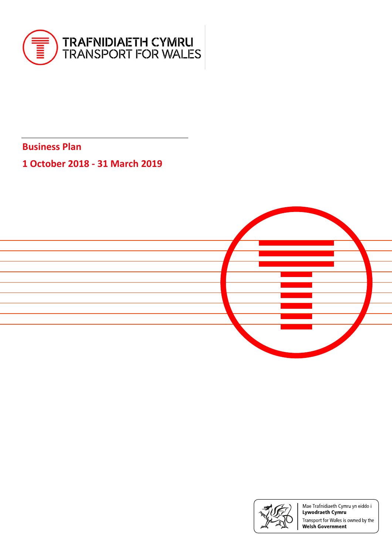

**Business Plan** 

# **1 October 2018 - 31 March 2019**





Mae Trafnidiaeth Cymru yn eiddo i Lywodraeth Cymru Transport for Wales is owned by the **Welsh Government**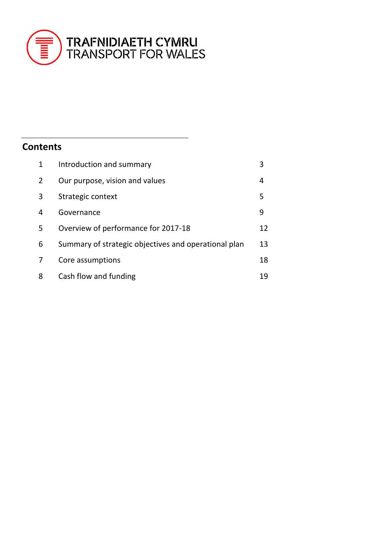

# **Contents**

| $\mathbf{1}$   | Introduction and summary                             |    |
|----------------|------------------------------------------------------|----|
| $\overline{2}$ | Our purpose, vision and values                       | 4  |
| 3              | Strategic context                                    | 5  |
| 4              | Governance                                           | 9  |
| 5              | Overview of performance for 2017-18                  | 12 |
| 6              | Summary of strategic objectives and operational plan | 13 |
|                | Core assumptions                                     | 18 |
| 8              | Cash flow and funding                                | 19 |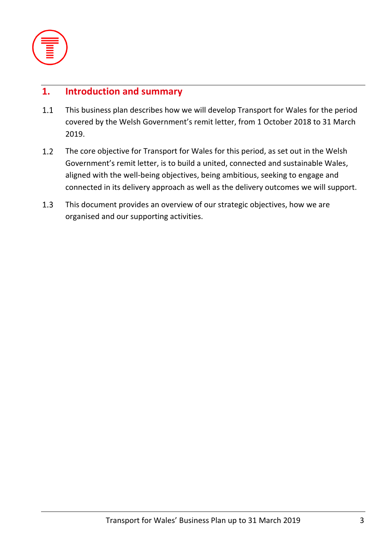

# **1. Introduction and summary**

- $1.1$ This business plan describes how we will develop Transport for Wales for the period covered by the Welsh Government's remit letter, from 1 October 2018 to 31 March 2019.
- $1.2$ The core objective for Transport for Wales for this period, as set out in the Welsh Government's remit letter, is to build a united, connected and sustainable Wales, aligned with the well-being objectives, being ambitious, seeking to engage and connected in its delivery approach as well as the delivery outcomes we will support.
- $1.3$ This document provides an overview of our strategic objectives, how we are organised and our supporting activities.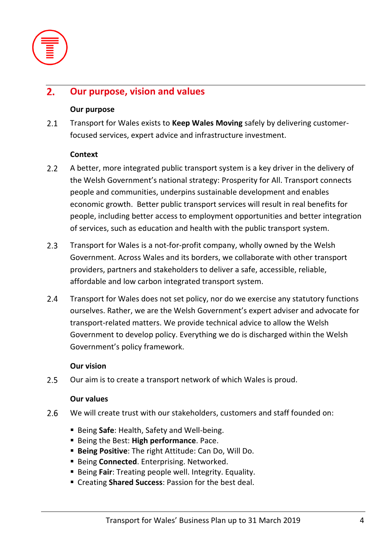

### **Our purpose, vision and values**  $2.$

### **Our purpose**

 $2.1$ Transport for Wales exists to **Keep Wales Moving** safely by delivering customerfocused services, expert advice and infrastructure investment.

### **Context**

- $2.2$ A better, more integrated public transport system is a key driver in the delivery of the Welsh Government's national strategy: Prosperity for All. Transport connects people and communities, underpins sustainable development and enables economic growth. Better public transport services will result in real benefits for people, including better access to employment opportunities and better integration of services, such as education and health with the public transport system.
- $2.3$ Transport for Wales is a not-for-profit company, wholly owned by the Welsh Government. Across Wales and its borders, we collaborate with other transport providers, partners and stakeholders to deliver a safe, accessible, reliable, affordable and low carbon integrated transport system.
- $2.4$ Transport for Wales does not set policy, nor do we exercise any statutory functions ourselves. Rather, we are the Welsh Government's expert adviser and advocate for transport-related matters. We provide technical advice to allow the Welsh Government to develop policy. Everything we do is discharged within the Welsh Government's policy framework.

### **Our vision**

 $2.5$ Our aim is to create a transport network of which Wales is proud.

### **Our values**

- 2.6 We will create trust with our stakeholders, customers and staff founded on:
	- Being Safe: Health, Safety and Well-being.
	- Being the Best: **High performance**. Pace.
	- **Being Positive**: The right Attitude: Can Do, Will Do.
	- **E** Being **Connected**. Enterprising. Networked.
	- Being **Fair**: Treating people well. Integrity. Equality.
	- Creating **Shared Success**: Passion for the best deal.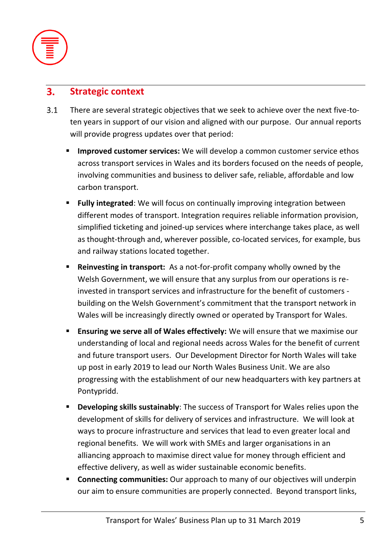

#### **Strategic context**  $3.$

- $3.1$ There are several strategic objectives that we seek to achieve over the next five-toten years in support of our vision and aligned with our purpose. Our annual reports will provide progress updates over that period:
	- **Improved customer services:** We will develop a common customer service ethos across transport services in Wales and its borders focused on the needs of people, involving communities and business to deliver safe, reliable, affordable and low carbon transport.
	- **Fully integrated:** We will focus on continually improving integration between different modes of transport. Integration requires reliable information provision, simplified ticketing and joined-up services where interchange takes place, as well as thought-through and, wherever possible, co-located services, for example, bus and railway stations located together.
	- **Reinvesting in transport:** As a not-for-profit company wholly owned by the Welsh Government, we will ensure that any surplus from our operations is reinvested in transport services and infrastructure for the benefit of customers building on the Welsh Government's commitment that the transport network in Wales will be increasingly directly owned or operated by Transport for Wales.
	- **Ensuring we serve all of Wales effectively:** We will ensure that we maximise our understanding of local and regional needs across Wales for the benefit of current and future transport users. Our Development Director for North Wales will take up post in early 2019 to lead our North Wales Business Unit. We are also progressing with the establishment of our new headquarters with key partners at Pontypridd.
	- **Developing skills sustainably**: The success of Transport for Wales relies upon the development of skills for delivery of services and infrastructure. We will look at ways to procure infrastructure and services that lead to even greater local and regional benefits. We will work with SMEs and larger organisations in an alliancing approach to maximise direct value for money through efficient and effective delivery, as well as wider sustainable economic benefits.
	- **EXP** Connecting communities: Our approach to many of our objectives will underpin our aim to ensure communities are properly connected. Beyond transport links,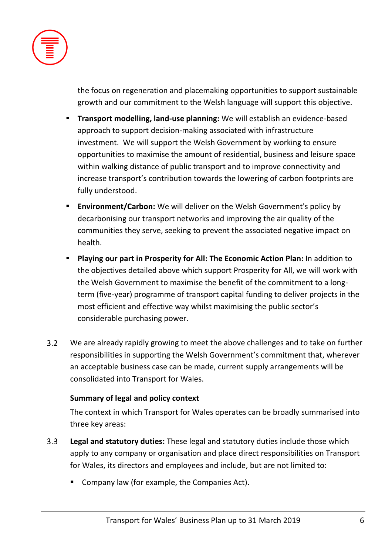

the focus on regeneration and placemaking opportunities to support sustainable growth and our commitment to the Welsh language will support this objective.

- **Transport modelling, land-use planning:** We will establish an evidence-based approach to support decision-making associated with infrastructure investment. We will support the Welsh Government by working to ensure opportunities to maximise the amount of residential, business and leisure space within walking distance of public transport and to improve connectivity and increase transport's contribution towards the lowering of carbon footprints are fully understood.
- **Environment/Carbon:** We will deliver on the Welsh Government's policy by decarbonising our transport networks and improving the air quality of the communities they serve, seeking to prevent the associated negative impact on health.
- **Playing our part in Prosperity for All: The Economic Action Plan:** In addition to the objectives detailed above which support Prosperity for All, we will work with the Welsh Government to maximise the benefit of the commitment to a longterm (five-year) programme of transport capital funding to deliver projects in the most efficient and effective way whilst maximising the public sector's considerable purchasing power.
- $3.2$ We are already rapidly growing to meet the above challenges and to take on further responsibilities in supporting the Welsh Government's commitment that, wherever an acceptable business case can be made, current supply arrangements will be consolidated into Transport for Wales.

# **Summary of legal and policy context**

The context in which Transport for Wales operates can be broadly summarised into three key areas:

- $3.3$ **Legal and statutory duties:** These legal and statutory duties include those which apply to any company or organisation and place direct responsibilities on Transport for Wales, its directors and employees and include, but are not limited to:
	- Company law (for example, the Companies Act).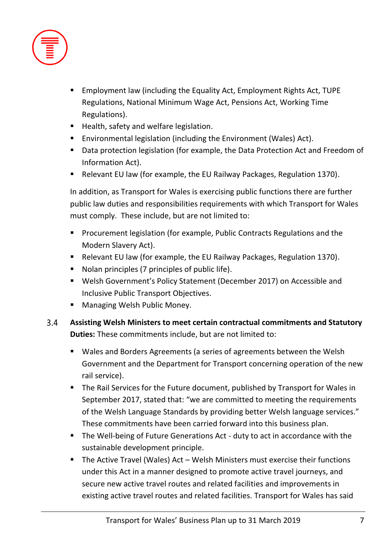

- Employment law (including the Equality Act, Employment Rights Act, TUPE Regulations, National Minimum Wage Act, Pensions Act, Working Time Regulations).
- Health, safety and welfare legislation.
- Environmental legislation (including the Environment (Wales) Act).
- Data protection legislation (for example, the Data Protection Act and Freedom of Information Act).
- Relevant EU law (for example, the EU Railway Packages, Regulation 1370).

In addition, as Transport for Wales is exercising public functions there are further public law duties and responsibilities requirements with which Transport for Wales must comply. These include, but are not limited to:

- Procurement legislation (for example, Public Contracts Regulations and the Modern Slavery Act).
- Relevant EU law (for example, the EU Railway Packages, Regulation 1370).
- Nolan principles (7 principles of public life).
- Welsh Government's Policy Statement (December 2017) on Accessible and Inclusive Public Transport Objectives.
- Managing Welsh Public Money.
- $3.4$ **Assisting Welsh Ministers to meet certain contractual commitments and Statutory Duties:** These commitments include, but are not limited to:
	- Wales and Borders Agreements (a series of agreements between the Welsh Government and the Department for Transport concerning operation of the new rail service).
	- The Rail Services for the Future document, published by Transport for Wales in September 2017, stated that: "we are committed to meeting the requirements of the Welsh Language Standards by providing better Welsh language services." These commitments have been carried forward into this business plan.
	- The Well-being of Future Generations Act duty to act in accordance with the sustainable development principle.
	- The Active Travel (Wales) Act Welsh Ministers must exercise their functions under this Act in a manner designed to promote active travel journeys, and secure new active travel routes and related facilities and improvements in existing active travel routes and related facilities. Transport for Wales has said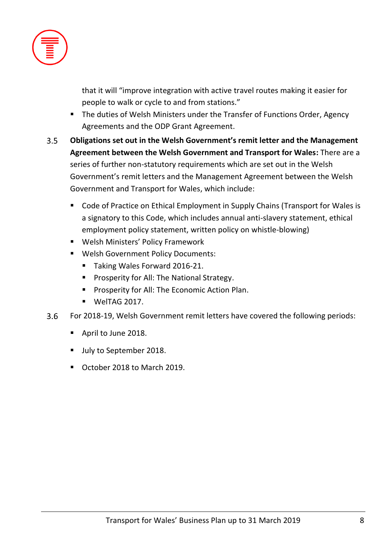

that it will "improve integration with active travel routes making it easier for people to walk or cycle to and from stations."

- The duties of Welsh Ministers under the Transfer of Functions Order, Agency Agreements and the ODP Grant Agreement.
- $3.5$ **Obligations set out in the Welsh Government's remit letter and the Management Agreement between the Welsh Government and Transport for Wales:** There are a series of further non-statutory requirements which are set out in the Welsh Government's remit letters and the Management Agreement between the Welsh Government and Transport for Wales, which include:
	- Code of Practice on Ethical Employment in Supply Chains (Transport for Wales is a signatory to this Code, which includes annual anti-slavery statement, ethical employment policy statement, written policy on whistle-blowing)
	- Welsh Ministers' Policy Framework
	- Welsh Government Policy Documents:
		- Taking Wales Forward 2016-21.
		- Prosperity for All: The National Strategy.
		- **Prosperity for All: The Economic Action Plan.**
		- WelTAG 2017.
- $3.6$ For 2018-19, Welsh Government remit letters have covered the following periods:
	- April to June 2018.
	- **■** July to September 2018.
	- October 2018 to March 2019.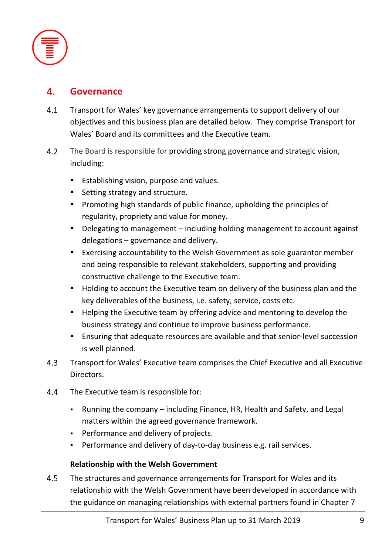

#### 4. **Governance**

- $4.1$ Transport for Wales' key governance arrangements to support delivery of our objectives and this business plan are detailed below. They comprise Transport for Wales' Board and its committees and the Executive team.
- $4.2$ The Board is responsible for providing strong governance and strategic vision, including:
	- Establishing vision, purpose and values.
	- Setting strategy and structure.
	- Promoting high standards of public finance, upholding the principles of regularity, propriety and value for money.
	- Delegating to management including holding management to account against delegations – governance and delivery.
	- Exercising accountability to the Welsh Government as sole guarantor member and being responsible to relevant stakeholders, supporting and providing constructive challenge to the Executive team.
	- Holding to account the Executive team on delivery of the business plan and the key deliverables of the business, i.e. safety, service, costs etc.
	- Helping the Executive team by offering advice and mentoring to develop the business strategy and continue to improve business performance.
	- Ensuring that adequate resources are available and that senior-level succession is well planned.
- $4.3$ Transport for Wales' Executive team comprises the Chief Executive and all Executive Directors.
- 4.4 The Executive team is responsible for:
	- Running the company including Finance, HR, Health and Safety, and Legal matters within the agreed governance framework.
	- Performance and delivery of projects.
	- Performance and delivery of day-to-day business e.g. rail services.

# **Relationship with the Welsh Government**

4.5 The structures and governance arrangements for Transport for Wales and its relationship with the Welsh Government have been developed in accordance with the guidance on managing relationships with external partners found in Chapter 7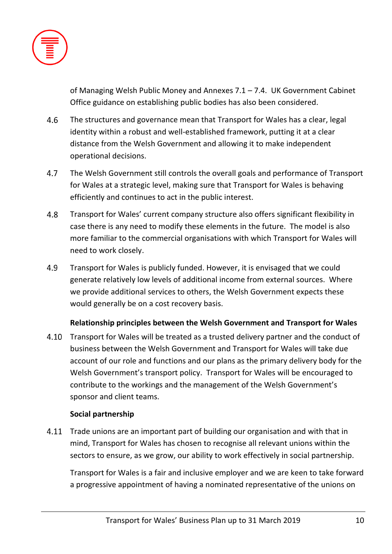

of Managing Welsh Public Money and Annexes 7.1 – 7.4. UK Government Cabinet Office guidance on establishing public bodies has also been considered.

- 4.6 The structures and governance mean that Transport for Wales has a clear, legal identity within a robust and well-established framework, putting it at a clear distance from the Welsh Government and allowing it to make independent operational decisions.
- $4.7$ The Welsh Government still controls the overall goals and performance of Transport for Wales at a strategic level, making sure that Transport for Wales is behaving efficiently and continues to act in the public interest.
- 4.8 Transport for Wales' current company structure also offers significant flexibility in case there is any need to modify these elements in the future. The model is also more familiar to the commercial organisations with which Transport for Wales will need to work closely.
- 4.9 Transport for Wales is publicly funded. However, it is envisaged that we could generate relatively low levels of additional income from external sources. Where we provide additional services to others, the Welsh Government expects these would generally be on a cost recovery basis.

# **Relationship principles between the Welsh Government and Transport for Wales**

4.10 Transport for Wales will be treated as a trusted delivery partner and the conduct of business between the Welsh Government and Transport for Wales will take due account of our role and functions and our plans as the primary delivery body for the Welsh Government's transport policy. Transport for Wales will be encouraged to contribute to the workings and the management of the Welsh Government's sponsor and client teams.

# **Social partnership**

4.11 Trade unions are an important part of building our organisation and with that in mind, Transport for Wales has chosen to recognise all relevant unions within the sectors to ensure, as we grow, our ability to work effectively in social partnership.

Transport for Wales is a fair and inclusive employer and we are keen to take forward a progressive appointment of having a nominated representative of the unions on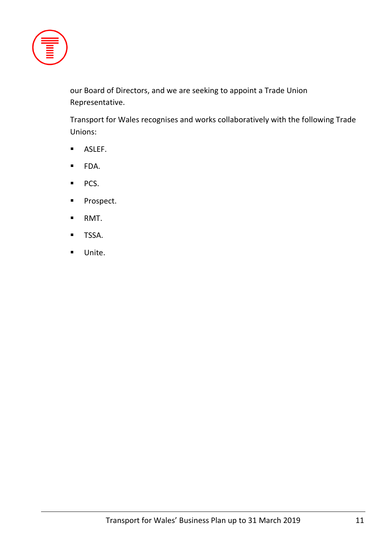

our Board of Directors, and we are seeking to appoint a Trade Union Representative.

Transport for Wales recognises and works collaboratively with the following Trade Unions:

- ASLEF.
- FDA.
- PCS.
- Prospect.
- RMT.
- TSSA.
- Unite.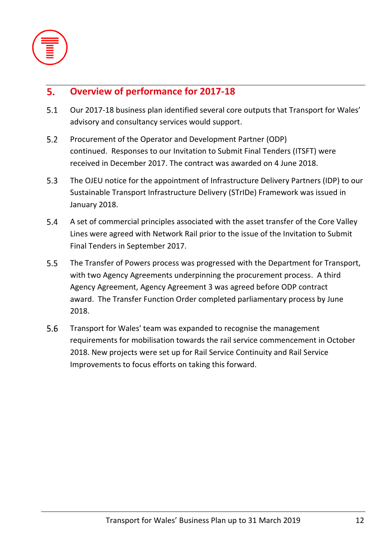

### **Overview of performance for 2017-18**  $5.$

- $5.1$ Our 2017-18 business plan identified several core outputs that Transport for Wales' advisory and consultancy services would support.
- $5.2$ Procurement of the Operator and Development Partner (ODP) continued. Responses to our Invitation to Submit Final Tenders (ITSFT) were received in December 2017. The contract was awarded on 4 June 2018.
- $5.3$ The OJEU notice for the appointment of Infrastructure Delivery Partners (IDP) to our Sustainable Transport Infrastructure Delivery (STrIDe) Framework was issued in January 2018.
- $5.4$ A set of commercial principles associated with the asset transfer of the Core Valley Lines were agreed with Network Rail prior to the issue of the Invitation to Submit Final Tenders in September 2017.
- $5.5$ The Transfer of Powers process was progressed with the Department for Transport, with two Agency Agreements underpinning the procurement process. A third Agency Agreement, Agency Agreement 3 was agreed before ODP contract award. The Transfer Function Order completed parliamentary process by June 2018.
- 5.6 Transport for Wales' team was expanded to recognise the management requirements for mobilisation towards the rail service commencement in October 2018. New projects were set up for Rail Service Continuity and Rail Service Improvements to focus efforts on taking this forward.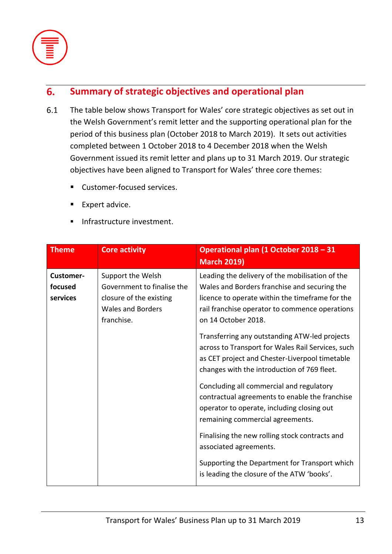

### **Summary of strategic objectives and operational plan**  $6.$

- $6.1$ The table below shows Transport for Wales' core strategic objectives as set out in the Welsh Government's remit letter and the supporting operational plan for the period of this business plan (October 2018 to March 2019). It sets out activities completed between 1 October 2018 to 4 December 2018 when the Welsh Government issued its remit letter and plans up to 31 March 2019. Our strategic objectives have been aligned to Transport for Wales' three core themes:
	- Customer-focused services.
	- Expert advice.
	- **·** Infrastructure investment.

| <b>Theme</b>                            | <b>Core activity</b>                                                                                                 | Operational plan (1 October 2018 - 31<br><b>March 2019)</b>                                                                                                                                                                 |
|-----------------------------------------|----------------------------------------------------------------------------------------------------------------------|-----------------------------------------------------------------------------------------------------------------------------------------------------------------------------------------------------------------------------|
| <b>Customer-</b><br>focused<br>services | Support the Welsh<br>Government to finalise the<br>closure of the existing<br><b>Wales and Borders</b><br>franchise. | Leading the delivery of the mobilisation of the<br>Wales and Borders franchise and securing the<br>licence to operate within the timeframe for the<br>rail franchise operator to commence operations<br>on 14 October 2018. |
|                                         |                                                                                                                      | Transferring any outstanding ATW-led projects<br>across to Transport for Wales Rail Services, such<br>as CET project and Chester-Liverpool timetable<br>changes with the introduction of 769 fleet.                         |
|                                         |                                                                                                                      | Concluding all commercial and regulatory<br>contractual agreements to enable the franchise<br>operator to operate, including closing out<br>remaining commercial agreements.                                                |
|                                         |                                                                                                                      | Finalising the new rolling stock contracts and<br>associated agreements.                                                                                                                                                    |
|                                         |                                                                                                                      | Supporting the Department for Transport which<br>is leading the closure of the ATW 'books'.                                                                                                                                 |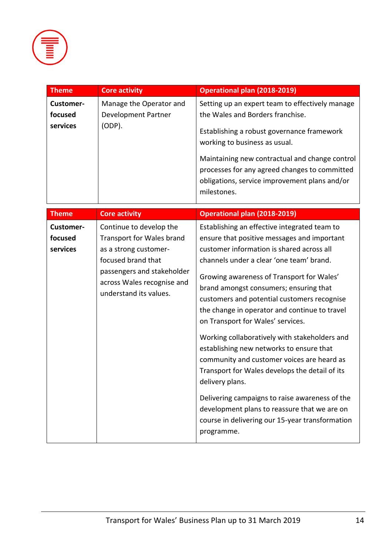

| <b>Theme</b> | Core activity           | Operational plan (2018-2019)                                                                                                                                                                                                                   |
|--------------|-------------------------|------------------------------------------------------------------------------------------------------------------------------------------------------------------------------------------------------------------------------------------------|
| Customer-    | Manage the Operator and | Setting up an expert team to effectively manage                                                                                                                                                                                                |
| focused      | Development Partner     | the Wales and Borders franchise.                                                                                                                                                                                                               |
| services     | (ODP).                  | Establishing a robust governance framework<br>working to business as usual.<br>Maintaining new contractual and change control<br>processes for any agreed changes to committed<br>obligations, service improvement plans and/or<br>milestones. |

| <b>Theme</b>                            | <b>Core activity</b>                                                                                                                                                                      | <b>Operational plan (2018-2019)</b>                                                                                                                                                                                                                                                                                                                                                                                                                                                                                                                                                                                              |
|-----------------------------------------|-------------------------------------------------------------------------------------------------------------------------------------------------------------------------------------------|----------------------------------------------------------------------------------------------------------------------------------------------------------------------------------------------------------------------------------------------------------------------------------------------------------------------------------------------------------------------------------------------------------------------------------------------------------------------------------------------------------------------------------------------------------------------------------------------------------------------------------|
| <b>Customer-</b><br>focused<br>services | Continue to develop the<br>Transport for Wales brand<br>as a strong customer-<br>focused brand that<br>passengers and stakeholder<br>across Wales recognise and<br>understand its values. | Establishing an effective integrated team to<br>ensure that positive messages and important<br>customer information is shared across all<br>channels under a clear 'one team' brand.<br>Growing awareness of Transport for Wales'<br>brand amongst consumers; ensuring that<br>customers and potential customers recognise<br>the change in operator and continue to travel<br>on Transport for Wales' services.<br>Working collaboratively with stakeholders and<br>establishing new networks to ensure that<br>community and customer voices are heard as<br>Transport for Wales develops the detail of its<br>delivery plans. |
|                                         |                                                                                                                                                                                           | Delivering campaigns to raise awareness of the<br>development plans to reassure that we are on<br>course in delivering our 15-year transformation<br>programme.                                                                                                                                                                                                                                                                                                                                                                                                                                                                  |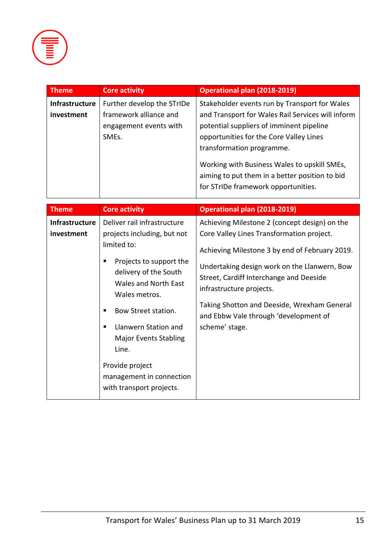

| <b>Theme</b>                        | <b>Core activity</b>                                                                                 | <b>Operational plan (2018-2019)</b>                                                                                                                                                                                                                                                                                                                             |
|-------------------------------------|------------------------------------------------------------------------------------------------------|-----------------------------------------------------------------------------------------------------------------------------------------------------------------------------------------------------------------------------------------------------------------------------------------------------------------------------------------------------------------|
| <b>Infrastructure</b><br>investment | Further develop the STrIDe<br>framework alliance and<br>engagement events with<br>SME <sub>s</sub> . | Stakeholder events run by Transport for Wales<br>and Transport for Wales Rail Services will inform<br>potential suppliers of imminent pipeline<br>opportunities for the Core Valley Lines<br>transformation programme.<br>Working with Business Wales to upskill SMEs,<br>aiming to put them in a better position to bid<br>for STrIDe framework opportunities. |

| <b>Theme</b>                 | <b>Core activity</b>                                                                                                                                                                                                                                                                                                                                  | <b>Operational plan (2018-2019)</b>                                                                                                                                                                                                                                                                                                                                           |
|------------------------------|-------------------------------------------------------------------------------------------------------------------------------------------------------------------------------------------------------------------------------------------------------------------------------------------------------------------------------------------------------|-------------------------------------------------------------------------------------------------------------------------------------------------------------------------------------------------------------------------------------------------------------------------------------------------------------------------------------------------------------------------------|
| Infrastructure<br>investment | Deliver rail infrastructure<br>projects including, but not<br>limited to:<br>Projects to support the<br>delivery of the South<br><b>Wales and North East</b><br>Wales metros.<br>Bow Street station.<br>٠<br>Llanwern Station and<br><b>Major Events Stabling</b><br>Line.<br>Provide project<br>management in connection<br>with transport projects. | Achieving Milestone 2 (concept design) on the<br>Core Valley Lines Transformation project.<br>Achieving Milestone 3 by end of February 2019.<br>Undertaking design work on the Llanwern, Bow<br>Street, Cardiff Interchange and Deeside<br>infrastructure projects.<br>Taking Shotton and Deeside, Wrexham General<br>and Ebbw Vale through 'development of<br>scheme' stage. |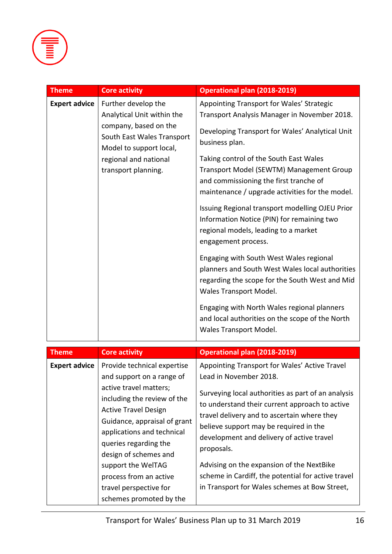

| <b>Theme</b>         | <b>Core activity</b>                                                                                                                                                                | <b>Operational plan (2018-2019)</b>                                                                                                                                                                                                                                                                                                                                                                                                                                                                                                                                                                                                                               |
|----------------------|-------------------------------------------------------------------------------------------------------------------------------------------------------------------------------------|-------------------------------------------------------------------------------------------------------------------------------------------------------------------------------------------------------------------------------------------------------------------------------------------------------------------------------------------------------------------------------------------------------------------------------------------------------------------------------------------------------------------------------------------------------------------------------------------------------------------------------------------------------------------|
| <b>Expert advice</b> | Further develop the<br>Analytical Unit within the<br>company, based on the<br>South East Wales Transport<br>Model to support local,<br>regional and national<br>transport planning. | Appointing Transport for Wales' Strategic<br>Transport Analysis Manager in November 2018.<br>Developing Transport for Wales' Analytical Unit<br>business plan.<br>Taking control of the South East Wales<br>Transport Model (SEWTM) Management Group<br>and commissioning the first tranche of<br>maintenance / upgrade activities for the model.<br>Issuing Regional transport modelling OJEU Prior<br>Information Notice (PIN) for remaining two<br>regional models, leading to a market<br>engagement process.<br>Engaging with South West Wales regional<br>planners and South West Wales local authorities<br>regarding the scope for the South West and Mid |
|                      |                                                                                                                                                                                     | Wales Transport Model.<br>Engaging with North Wales regional planners<br>and local authorities on the scope of the North<br>Wales Transport Model.                                                                                                                                                                                                                                                                                                                                                                                                                                                                                                                |
| <b>Theme</b>         | <b>Core activity</b>                                                                                                                                                                | <b>Operational plan (2018-2019)</b>                                                                                                                                                                                                                                                                                                                                                                                                                                                                                                                                                                                                                               |
|                      |                                                                                                                                                                                     |                                                                                                                                                                                                                                                                                                                                                                                                                                                                                                                                                                                                                                                                   |
| <b>Expert advice</b> | Provide technical expertise<br>and support on a range of<br>active travel matters;<br>including the review of the<br><b>Active Travel Design</b><br>Guidance, appraisal of grant    | Appointing Transport for Wales' Active Travel<br>Lead in November 2018.<br>Surveying local authorities as part of an analysis<br>to understand their current approach to active<br>travel delivery and to ascertain where they<br>believe support may be required in the                                                                                                                                                                                                                                                                                                                                                                                          |
|                      | applications and technical                                                                                                                                                          | development and delivery of active travel                                                                                                                                                                                                                                                                                                                                                                                                                                                                                                                                                                                                                         |

proposals.

queries regarding the design of schemes and support the WelTAG process from an active travel perspective for

schemes promoted by the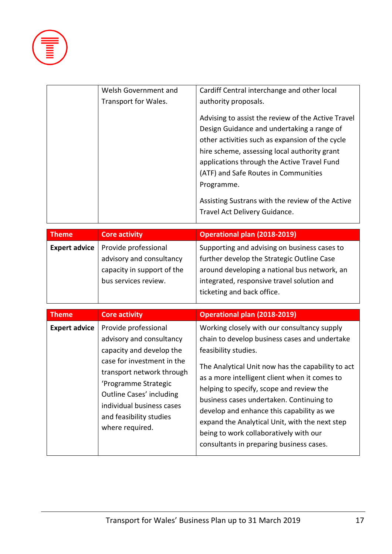

| Welsh Government and | Cardiff Central interchange and other local        |
|----------------------|----------------------------------------------------|
| Transport for Wales. | authority proposals.                               |
|                      | Advising to assist the review of the Active Travel |
|                      | Design Guidance and undertaking a range of         |
|                      | other activities such as expansion of the cycle    |
|                      | hire scheme, assessing local authority grant       |
|                      | applications through the Active Travel Fund        |
|                      | (ATF) and Safe Routes in Communities               |
|                      | Programme.                                         |
|                      | Assisting Sustrans with the review of the Active   |
|                      | Travel Act Delivery Guidance.                      |
|                      |                                                    |

| <b>Core activity</b>                                                                         | <b>Operational plan (2018-2019)</b>          |
|----------------------------------------------------------------------------------------------|----------------------------------------------|
| Provide professional<br>Supporting and advising on business cases to<br><b>Expert advice</b> |                                              |
| advisory and consultancy                                                                     | further develop the Strategic Outline Case   |
| capacity in support of the                                                                   | around developing a national bus network, an |
| bus services review.                                                                         | integrated, responsive travel solution and   |
|                                                                                              | ticketing and back office.                   |
|                                                                                              |                                              |

| <b>Theme</b>         | <b>Core activity</b>                                                                                                                                                                                                                                                          | <b>Operational plan (2018-2019)</b>                                                                                                                                                                                                                                                                                                                                                                                                                                                                     |
|----------------------|-------------------------------------------------------------------------------------------------------------------------------------------------------------------------------------------------------------------------------------------------------------------------------|---------------------------------------------------------------------------------------------------------------------------------------------------------------------------------------------------------------------------------------------------------------------------------------------------------------------------------------------------------------------------------------------------------------------------------------------------------------------------------------------------------|
| <b>Expert advice</b> | Provide professional<br>advisory and consultancy<br>capacity and develop the<br>case for investment in the<br>transport network through<br>'Programme Strategic<br><b>Outline Cases' including</b><br>individual business cases<br>and feasibility studies<br>where required. | Working closely with our consultancy supply<br>chain to develop business cases and undertake<br>feasibility studies.<br>The Analytical Unit now has the capability to act<br>as a more intelligent client when it comes to<br>helping to specify, scope and review the<br>business cases undertaken. Continuing to<br>develop and enhance this capability as we<br>expand the Analytical Unit, with the next step<br>being to work collaboratively with our<br>consultants in preparing business cases. |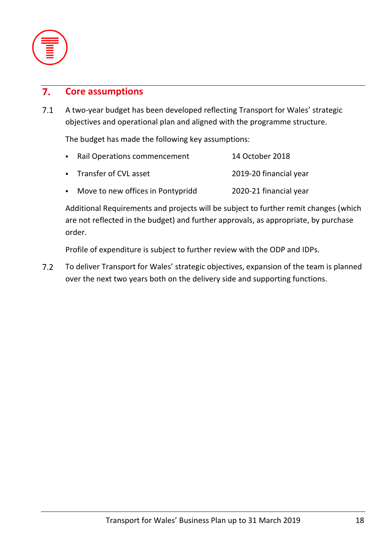

#### **Core assumptions**  $\overline{7}$ .

 $7.1$ A two-year budget has been developed reflecting Transport for Wales' strategic objectives and operational plan and aligned with the programme structure.

The budget has made the following key assumptions:

| • Rail Operations commencement      | 14 October 2018        |
|-------------------------------------|------------------------|
| • Transfer of CVL asset             | 2019-20 financial year |
| • Move to new offices in Pontypridd | 2020-21 financial year |

Additional Requirements and projects will be subject to further remit changes (which are not reflected in the budget) and further approvals, as appropriate, by purchase order.

Profile of expenditure is subject to further review with the ODP and IDPs.

 $7.2$ To deliver Transport for Wales' strategic objectives, expansion of the team is planned over the next two years both on the delivery side and supporting functions.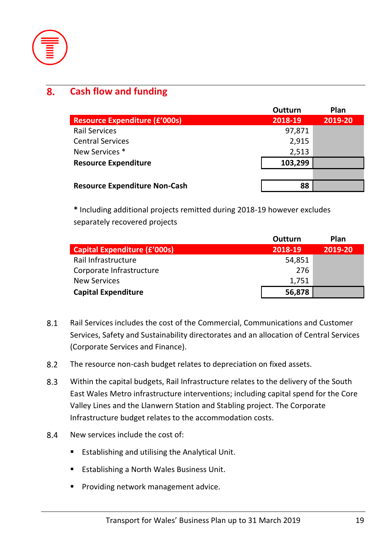

#### **Cash flow and funding** 8.

|                                      | <b>Outturn</b> | Plan    |
|--------------------------------------|----------------|---------|
| <b>Resource Expenditure (£'000s)</b> | 2018-19        | 2019-20 |
| <b>Rail Services</b>                 | 97,871         |         |
| <b>Central Services</b>              | 2,915          |         |
| New Services *                       | 2,513          |         |
| <b>Resource Expenditure</b>          | 103,299        |         |
|                                      |                |         |
| <b>Resource Expenditure Non-Cash</b> | 88             |         |

**\*** Including additional projects remitted during 2018-19 however excludes separately recovered projects

|                                     | Outturn | Plan    |
|-------------------------------------|---------|---------|
| <b>Capital Expenditure (£'000s)</b> | 2018-19 | 2019-20 |
| Rail Infrastructure                 | 54,851  |         |
| Corporate Infrastructure            | 276     |         |
| <b>New Services</b>                 | 1,751   |         |
| <b>Capital Expenditure</b>          | 56,878  |         |

- 8.1 Rail Services includes the cost of the Commercial, Communications and Customer Services, Safety and Sustainability directorates and an allocation of Central Services (Corporate Services and Finance).
- $8.2$ The resource non-cash budget relates to depreciation on fixed assets.
- 8.3 Within the capital budgets, Rail Infrastructure relates to the delivery of the South East Wales Metro infrastructure interventions; including capital spend for the Core Valley Lines and the Llanwern Station and Stabling project. The Corporate Infrastructure budget relates to the accommodation costs.
- 8.4 New services include the cost of:
	- Establishing and utilising the Analytical Unit.
	- Establishing a North Wales Business Unit.
	- **•** Providing network management advice.